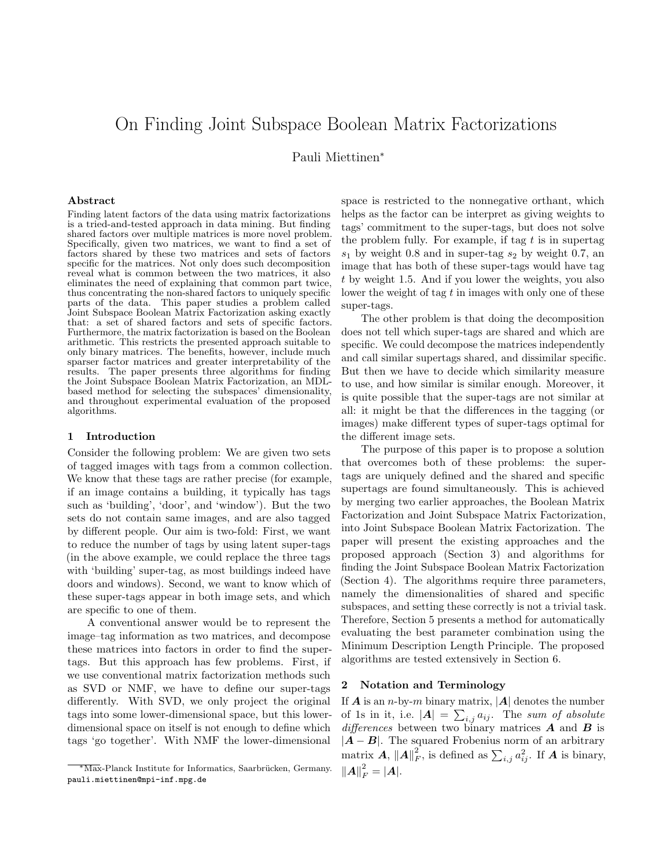# On Finding Joint Subspace Boolean Matrix Factorizations

Pauli Miettinen<sup>∗</sup>

#### Abstract

Finding latent factors of the data using matrix factorizations is a tried-and-tested approach in data mining. But finding shared factors over multiple matrices is more novel problem. Specifically, given two matrices, we want to find a set of factors shared by these two matrices and sets of factors specific for the matrices. Not only does such decomposition reveal what is common between the two matrices, it also eliminates the need of explaining that common part twice, thus concentrating the non-shared factors to uniquely specific parts of the data. This paper studies a problem called Joint Subspace Boolean Matrix Factorization asking exactly that: a set of shared factors and sets of specific factors. Furthermore, the matrix factorization is based on the Boolean arithmetic. This restricts the presented approach suitable to only binary matrices. The benefits, however, include much sparser factor matrices and greater interpretability of the results. The paper presents three algorithms for finding the Joint Subspace Boolean Matrix Factorization, an MDLbased method for selecting the subspaces' dimensionality, and throughout experimental evaluation of the proposed algorithms.

# 1 Introduction

Consider the following problem: We are given two sets of tagged images with tags from a common collection. We know that these tags are rather precise (for example, if an image contains a building, it typically has tags such as 'building', 'door', and 'window'). But the two sets do not contain same images, and are also tagged by different people. Our aim is two-fold: First, we want to reduce the number of tags by using latent super-tags (in the above example, we could replace the three tags with 'building' super-tag, as most buildings indeed have doors and windows). Second, we want to know which of these super-tags appear in both image sets, and which are specific to one of them.

A conventional answer would be to represent the image–tag information as two matrices, and decompose these matrices into factors in order to find the supertags. But this approach has few problems. First, if we use conventional matrix factorization methods such as SVD or NMF, we have to define our super-tags differently. With SVD, we only project the original tags into some lower-dimensional space, but this lowerdimensional space on itself is not enough to define which tags 'go together'. With NMF the lower-dimensional

space is restricted to the nonnegative orthant, which helps as the factor can be interpret as giving weights to tags' commitment to the super-tags, but does not solve the problem fully. For example, if tag  $t$  is in supertag  $s_1$  by weight 0.8 and in super-tag  $s_2$  by weight 0.7, an image that has both of these super-tags would have tag t by weight 1.5. And if you lower the weights, you also lower the weight of tag  $t$  in images with only one of these super-tags.

The other problem is that doing the decomposition does not tell which super-tags are shared and which are specific. We could decompose the matrices independently and call similar supertags shared, and dissimilar specific. But then we have to decide which similarity measure to use, and how similar is similar enough. Moreover, it is quite possible that the super-tags are not similar at all: it might be that the differences in the tagging (or images) make different types of super-tags optimal for the different image sets.

The purpose of this paper is to propose a solution that overcomes both of these problems: the supertags are uniquely defined and the shared and specific supertags are found simultaneously. This is achieved by merging two earlier approaches, the Boolean Matrix Factorization and Joint Subspace Matrix Factorization, into Joint Subspace Boolean Matrix Factorization. The paper will present the existing approaches and the proposed approach (Section 3) and algorithms for finding the Joint Subspace Boolean Matrix Factorization (Section 4). The algorithms require three parameters, namely the dimensionalities of shared and specific subspaces, and setting these correctly is not a trivial task. Therefore, Section 5 presents a method for automatically evaluating the best parameter combination using the Minimum Description Length Principle. The proposed algorithms are tested extensively in Section 6.

# 2 Notation and Terminology

If **A** is an *n*-by-*m* binary matrix,  $|A|$  denotes the number of 1s in it, i.e.  $|\mathbf{A}| = \sum_{i,j} a_{ij}$ . The sum of absolute differences between two binary matrices  $\boldsymbol{A}$  and  $\boldsymbol{B}$  is  $|A - B|$ . The squared Frobenius norm of an arbitrary matrix  $A, \Vert A \Vert_F^2$ , is defined as  $\sum_{i,j} a_{ij}^2$ . If  $A$  is binary,  $||A||_F^2 = |A|.$ 

<sup>\*</sup>Max-Planck Institute for Informatics, Saarbrücken, Germany. pauli.miettinen@mpi-inf.mpg.de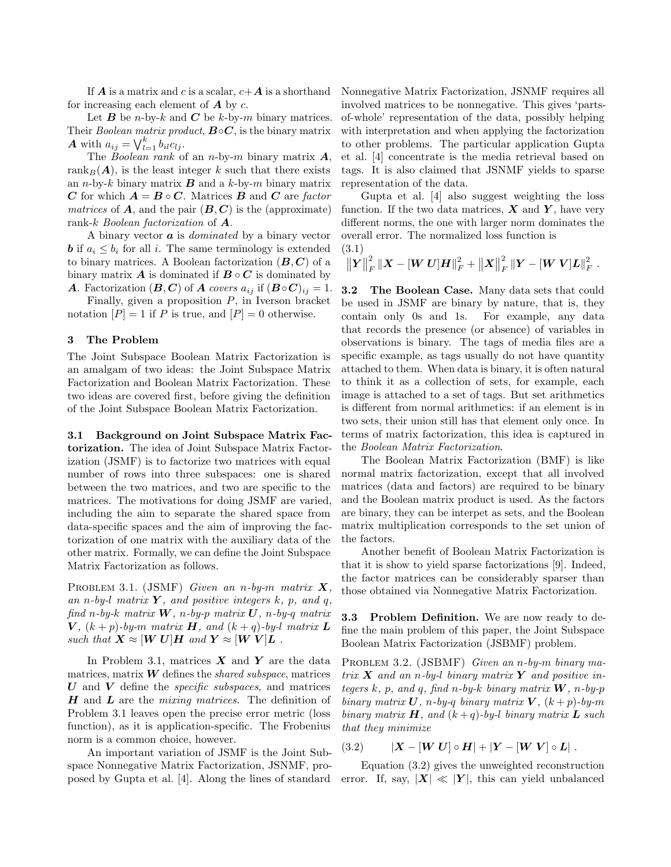If  $A$  is a matrix and c is a scalar,  $c+A$  is a shorthand for increasing each element of  $\boldsymbol{A}$  by  $\boldsymbol{c}$ .

Let **B** be *n*-by-k and **C** be k-by-m binary matrices. Their Boolean matrix product,  $\mathbf{B} \circ \mathbf{C}$ , is the binary matrix **A** with  $a_{ij} = \bigvee_{l=1}^{k} b_{il}c_{lj}$ .

The Boolean rank of an n-by-m binary matrix  $\boldsymbol{A}$ , rank<sub>B</sub>( $\mathbf{A}$ ), is the least integer k such that there exists an *n*-by-k binary matrix  $\bf{B}$  and a k-by-m binary matrix C for which  $A = B \circ C$ . Matrices B and C are factor matrices of  $\boldsymbol{A}$ , and the pair  $(\boldsymbol{B}, \boldsymbol{C})$  is the (approximate) rank-k Boolean factorization of  $\boldsymbol{A}$ .

A binary vector  $\boldsymbol{a}$  is *dominated* by a binary vector **b** if  $a_i \leq b_i$  for all i. The same terminology is extended to binary matrices. A Boolean factorization  $(B, C)$  of a binary matrix **A** is dominated if  $B \circ C$  is dominated by A. Factorization  $(B, C)$  of A covers  $a_{ij}$  if  $(B \circ C)_{ij} = 1$ .

Finally, given a proposition  $P$ , in Iverson bracket notation  $[P] = 1$  if P is true, and  $[P] = 0$  otherwise.

#### 3 The Problem

The Joint Subspace Boolean Matrix Factorization is an amalgam of two ideas: the Joint Subspace Matrix Factorization and Boolean Matrix Factorization. These two ideas are covered first, before giving the definition of the Joint Subspace Boolean Matrix Factorization.

3.1 Background on Joint Subspace Matrix Factorization. The idea of Joint Subspace Matrix Factorization (JSMF) is to factorize two matrices with equal number of rows into three subspaces: one is shared between the two matrices, and two are specific to the matrices. The motivations for doing JSMF are varied, including the aim to separate the shared space from data-specific spaces and the aim of improving the factorization of one matrix with the auxiliary data of the other matrix. Formally, we can define the Joint Subspace Matrix Factorization as follows.

PROBLEM 3.1. (JSMF) Given an n-by-m matrix  $X$ , an n-by-l matrix  $Y$ , and positive integers k, p, and q, find n-by-k matrix  $W$ , n-by-p matrix  $U$ , n-by-q matrix  $V$ ,  $(k+p)$ -by-m matrix **H**, and  $(k+q)$ -by-l matrix **L** such that  $X \approx [W U]H$  and  $Y \approx [W V]L$ .

In Problem 3.1, matrices  $\boldsymbol{X}$  and  $\boldsymbol{Y}$  are the data matrices, matrix  $\boldsymbol{W}$  defines the *shared subspace*, matrices  $U$  and  $V$  define the *specific subspaces*, and matrices  $H$  and  $L$  are the *mixing matrices*. The definition of Problem 3.1 leaves open the precise error metric (loss function), as it is application-specific. The Frobenius norm is a common choice, however.

An important variation of JSMF is the Joint Subspace Nonnegative Matrix Factorization, JSNMF, proposed by Gupta et al. [4]. Along the lines of standard Nonnegative Matrix Factorization, JSNMF requires all involved matrices to be nonnegative. This gives 'partsof-whole' representation of the data, possibly helping with interpretation and when applying the factorization to other problems. The particular application Gupta et al. [4] concentrate is the media retrieval based on tags. It is also claimed that JSNMF yields to sparse representation of the data.

Gupta et al. [4] also suggest weighting the loss function. If the two data matrices,  $\boldsymbol{X}$  and  $\boldsymbol{Y}$ , have very different norms, the one with larger norm dominates the overall error. The normalized loss function is  $(3.1)$ 

$$
1) \quad
$$

$$
\big\|\boldsymbol{Y}\big\|_F^2\, \|\boldsymbol{X} - [\boldsymbol{W}\,\boldsymbol{U}]\boldsymbol{H}\|_F^2 + \big\|\boldsymbol{X}\big\|_F^2\, \|\boldsymbol{Y} - [\boldsymbol{W}\,\boldsymbol{V}]\boldsymbol{L}\|_F^2\ .
$$

3.2 The Boolean Case. Many data sets that could be used in JSMF are binary by nature, that is, they contain only 0s and 1s. For example, any data that records the presence (or absence) of variables in observations is binary. The tags of media files are a specific example, as tags usually do not have quantity attached to them. When data is binary, it is often natural to think it as a collection of sets, for example, each image is attached to a set of tags. But set arithmetics is different from normal arithmetics: if an element is in two sets, their union still has that element only once. In terms of matrix factorization, this idea is captured in the Boolean Matrix Factorization.

The Boolean Matrix Factorization (BMF) is like normal matrix factorization, except that all involved matrices (data and factors) are required to be binary and the Boolean matrix product is used. As the factors are binary, they can be interpet as sets, and the Boolean matrix multiplication corresponds to the set union of the factors.

Another benefit of Boolean Matrix Factorization is that it is show to yield sparse factorizations [9]. Indeed, the factor matrices can be considerably sparser than those obtained via Nonnegative Matrix Factorization.

3.3 Problem Definition. We are now ready to define the main problem of this paper, the Joint Subspace Boolean Matrix Factorization (JSBMF) problem.

PROBLEM 3.2. (JSBMF) Given an n-by-m binary matrix  $X$  and an n-by-l binary matrix Y and positive integers k, p, and q, find n-by-k binary matrix  $W$ , n-by-p binary matrix U, n-by-q binary matrix V,  $(k+p)$ -by-m binary matrix  $H$ , and  $(k+q)$ -by-l binary matrix  $L$  such that they minimize

(3.2)  $|X - [W U] \circ H| + |Y - [W V] \circ L|.$ 

Equation (3.2) gives the unweighted reconstruction error. If, say,  $|\mathbf{X}| \ll |\mathbf{Y}|$ , this can yield unbalanced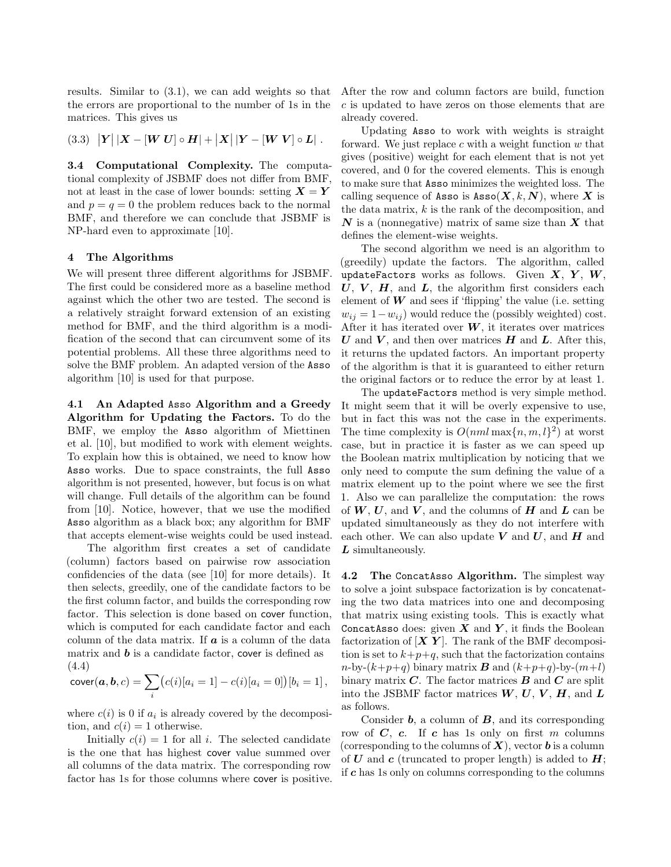results. Similar to (3.1), we can add weights so that the errors are proportional to the number of 1s in the matrices. This gives us

(3.3) 
$$
|Y| |X - [W U] \circ H| + |X| |Y - [W V] \circ L|
$$
.

3.4 Computational Complexity. The computational complexity of JSBMF does not differ from BMF, not at least in the case of lower bounds: setting  $X = Y$ and  $p = q = 0$  the problem reduces back to the normal BMF, and therefore we can conclude that JSBMF is NP-hard even to approximate [10].

# 4 The Algorithms

We will present three different algorithms for JSBMF. The first could be considered more as a baseline method against which the other two are tested. The second is a relatively straight forward extension of an existing method for BMF, and the third algorithm is a modification of the second that can circumvent some of its potential problems. All these three algorithms need to solve the BMF problem. An adapted version of the Asso algorithm [10] is used for that purpose.

4.1 An Adapted Asso Algorithm and a Greedy Algorithm for Updating the Factors. To do the BMF, we employ the Asso algorithm of Miettinen et al. [10], but modified to work with element weights. To explain how this is obtained, we need to know how Asso works. Due to space constraints, the full Asso algorithm is not presented, however, but focus is on what will change. Full details of the algorithm can be found from [10]. Notice, however, that we use the modified Asso algorithm as a black box; any algorithm for BMF that accepts element-wise weights could be used instead.

The algorithm first creates a set of candidate (column) factors based on pairwise row association confidencies of the data (see [10] for more details). It then selects, greedily, one of the candidate factors to be the first column factor, and builds the corresponding row factor. This selection is done based on cover function, which is computed for each candidate factor and each column of the data matrix. If  $\boldsymbol{a}$  is a column of the data matrix and  **is a candidate factor, cover is defined as** (4.4)

$$
cover(a,b,c) = \sum_{i} (c(i)[a_i = 1] - c(i)[a_i = 0])[b_i = 1],
$$

where  $c(i)$  is 0 if  $a_i$  is already covered by the decomposition, and  $c(i) = 1$  otherwise.

Initially  $c(i) = 1$  for all i. The selected candidate is the one that has highest cover value summed over all columns of the data matrix. The corresponding row factor has 1s for those columns where cover is positive. After the row and column factors are build, function c is updated to have zeros on those elements that are already covered.

Updating Asso to work with weights is straight forward. We just replace  $c$  with a weight function  $w$  that gives (positive) weight for each element that is not yet covered, and 0 for the covered elements. This is enough to make sure that Asso minimizes the weighted loss. The calling sequence of Asso is  $Asso(X, k, N)$ , where X is the data matrix,  $k$  is the rank of the decomposition, and  $N$  is a (nonnegative) matrix of same size than  $X$  that defines the element-wise weights.

The second algorithm we need is an algorithm to (greedily) update the factors. The algorithm, called updateFactors works as follows. Given  $X, Y, W$ ,  $U, V, H$ , and  $L$ , the algorithm first considers each element of  $W$  and sees if 'flipping' the value (i.e. setting  $w_{ij} = 1 - w_{ij}$ ) would reduce the (possibly weighted) cost. After it has iterated over  $W$ , it iterates over matrices U and V, and then over matrices  $H$  and L. After this, it returns the updated factors. An important property of the algorithm is that it is guaranteed to either return the original factors or to reduce the error by at least 1.

The updateFactors method is very simple method. It might seem that it will be overly expensive to use, but in fact this was not the case in the experiments. The time complexity is  $O(nml \max\{n, m, l\}^2)$  at worst case, but in practice it is faster as we can speed up the Boolean matrix multiplication by noticing that we only need to compute the sum defining the value of a matrix element up to the point where we see the first 1. Also we can parallelize the computation: the rows of  $W, U$ , and  $V$ , and the columns of  $H$  and  $L$  can be updated simultaneously as they do not interfere with each other. We can also update  $V$  and  $U$ , and  $H$  and  $L$  simultaneously.

4.2 The ConcatAsso Algorithm. The simplest way to solve a joint subspace factorization is by concatenating the two data matrices into one and decomposing that matrix using existing tools. This is exactly what ConcatAsso does: given  $X$  and  $Y$ , it finds the Boolean factorization of  $[\boldsymbol{X} \boldsymbol{Y}]$ . The rank of the BMF decomposition is set to  $k+p+q$ , such that the factorization contains  $n\text{-by-}(k+p+q)$  binary matrix **B** and  $(k+p+q)\text{-by-}(m+l)$ binary matrix  $C$ . The factor matrices  $B$  and  $C$  are split into the JSBMF factor matrices  $W, U, V, H$ , and  $L$ as follows.

Consider  $\boldsymbol{b}$ , a column of  $\boldsymbol{B}$ , and its corresponding row of  $C$ ,  $c$ . If  $c$  has 1s only on first  $m$  columns (corresponding to the columns of  $X$ ), vector **b** is a column of U and c (truncated to proper length) is added to  $H$ ; if c has 1s only on columns corresponding to the columns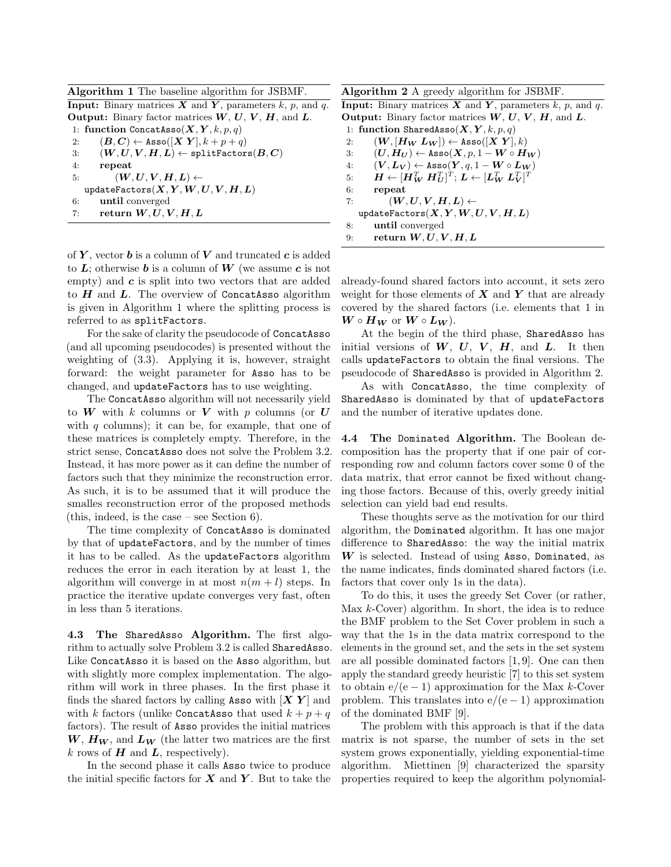Algorithm 1 The baseline algorithm for JSBMF.

**Input:** Binary matrices  $X$  and  $Y$ , parameters  $k$ ,  $p$ , and  $q$ . **Output:** Binary factor matrices  $W, U, V, H$ , and  $L$ . 1: function ConcatAsso $(X, Y, k, p, q)$ 2:  $(B, C) \leftarrow \text{Assoc}([X \ Y], k + p + q)$ 3:  $(W, U, V, H, L) \leftarrow \text{splitsFactors}(B, C)$ 4: repeat 5:  $(W, U, V, H, L) \leftarrow$  $updateFactors(X, Y, W, U, V, H, L)$ 6: until converged 7: return  $W, U, V, H, L$ 

of  $Y$ , vector  $b$  is a column of  $V$  and truncated  $c$  is added to  $L$ ; otherwise **b** is a column of **W** (we assume c is not empty) and  $c$  is split into two vectors that are added to  $H$  and  $L$ . The overview of ConcatAsso algorithm is given in Algorithm 1 where the splitting process is referred to as splitFactors.

For the sake of clarity the pseudocode of ConcatAsso (and all upcoming pseudocodes) is presented without the weighting of (3.3). Applying it is, however, straight forward: the weight parameter for Asso has to be changed, and updateFactors has to use weighting.

The ConcatAsso algorithm will not necessarily yield to W with k columns or V with p columns (or U with  $q$  columns); it can be, for example, that one of these matrices is completely empty. Therefore, in the strict sense, ConcatAsso does not solve the Problem 3.2. Instead, it has more power as it can define the number of factors such that they minimize the reconstruction error. As such, it is to be assumed that it will produce the smalles reconstruction error of the proposed methods (this, indeed, is the case – see Section 6).

The time complexity of ConcatAsso is dominated by that of updateFactors, and by the number of times it has to be called. As the updateFactors algorithm reduces the error in each iteration by at least 1, the algorithm will converge in at most  $n(m + l)$  steps. In practice the iterative update converges very fast, often in less than 5 iterations.

4.3 The SharedAsso Algorithm. The first algorithm to actually solve Problem 3.2 is called SharedAsso. Like ConcatAsso it is based on the Asso algorithm, but with slightly more complex implementation. The algorithm will work in three phases. In the first phase it finds the shared factors by calling Asso with  $[X Y]$  and with k factors (unlike Concatasso that used  $k + p + q$ factors). The result of Asso provides the initial matrices  $W, H_W$ , and  $L_W$  (the latter two matrices are the first k rows of  $H$  and  $L$ , respectively).

In the second phase it calls Asso twice to produce the initial specific factors for  $X$  and  $Y$ . But to take the

Algorithm 2 A greedy algorithm for JSBMF. **Input:** Binary matrices  $X$  and  $Y$ , parameters  $k$ ,  $p$ , and  $q$ .

**Output:** Binary factor matrices  $W, U, V, H$ , and  $L$ . 1: function SharedAsso $(X, Y, k, p, q)$ 2:  $(W, [H_W L_W]) \leftarrow \text{Asso}([X Y], k)$ 3:  $(U, H_U) \leftarrow \text{Assoc}(X, p, 1 - W \circ H_W)$ 4:  $(V, L_V) \leftarrow \text{Assoc}(Y, q, 1 - W \circ L_W)$  $5: \qquad \bm{H} \leftarrow [\bm{H}_{\bm{W}}^T \ \bm{H}_{\bm{U}}^T]^T; \ \bm{L} \leftarrow [\bm{L}_{\bm{W}}^T \ \bm{L}_{\bm{V}}^T]^T$ 6: repeat 7:  $(W, U, V, H, L) \leftarrow$ updateFactors $(X, Y, W, U, V, H, L)$ 8: until converged

9: return  $W, U, V, H, L$ 

already-found shared factors into account, it sets zero weight for those elements of  $X$  and  $Y$  that are already covered by the shared factors (i.e. elements that 1 in  $W \circ H_W$  or  $W \circ L_W$ ).

At the begin of the third phase, SharedAsso has initial versions of  $W, U, V, H$ , and  $L$ . It then calls updateFactors to obtain the final versions. The pseudocode of SharedAsso is provided in Algorithm 2.

As with ConcatAsso, the time complexity of SharedAsso is dominated by that of updateFactors and the number of iterative updates done.

4.4 The Dominated Algorithm. The Boolean decomposition has the property that if one pair of corresponding row and column factors cover some 0 of the data matrix, that error cannot be fixed without changing those factors. Because of this, overly greedy initial selection can yield bad end results.

These thoughts serve as the motivation for our third algorithm, the Dominated algorithm. It has one major difference to SharedAsso: the way the initial matrix  $W$  is selected. Instead of using Asso, Dominated, as the name indicates, finds dominated shared factors (i.e. factors that cover only 1s in the data).

To do this, it uses the greedy Set Cover (or rather, Max  $k$ -Cover) algorithm. In short, the idea is to reduce the BMF problem to the Set Cover problem in such a way that the 1s in the data matrix correspond to the elements in the ground set, and the sets in the set system are all possible dominated factors [1, 9]. One can then apply the standard greedy heuristic [7] to this set system to obtain  $e/(e-1)$  approximation for the Max k-Cover problem. This translates into  $e/(e-1)$  approximation of the dominated BMF [9].

The problem with this approach is that if the data matrix is not sparse, the number of sets in the set system grows exponentially, yielding exponential-time algorithm. Miettinen [9] characterized the sparsity properties required to keep the algorithm polynomial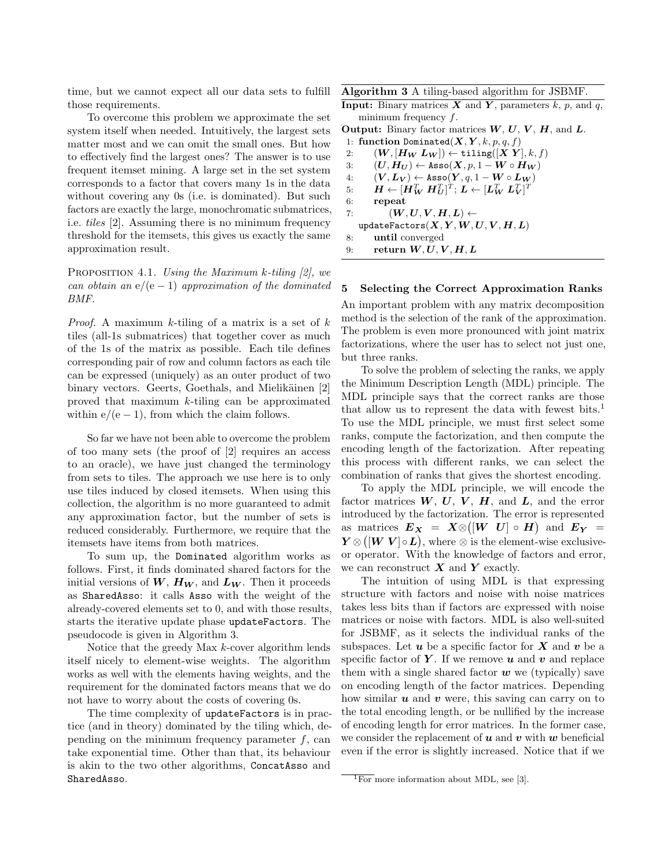time, but we cannot expect all our data sets to fulfill those requirements.

To overcome this problem we approximate the set system itself when needed. Intuitively, the largest sets matter most and we can omit the small ones. But how to effectively find the largest ones? The answer is to use frequent itemset mining. A large set in the set system corresponds to a factor that covers many 1s in the data without covering any 0s (i.e. is dominated). But such factors are exactly the large, monochromatic submatrices, i.e. tiles [2]. Assuming there is no minimum frequency threshold for the itemsets, this gives us exactly the same approximation result.

PROPOSITION 4.1. Using the Maximum k-tiling  $[2]$ , we can obtain an  $e/(e-1)$  approximation of the dominated BMF.

*Proof.* A maximum k-tiling of a matrix is a set of  $k$ tiles (all-1s submatrices) that together cover as much of the 1s of the matrix as possible. Each tile defines corresponding pair of row and column factors as each tile can be expressed (uniquely) as an outer product of two binary vectors. Geerts, Goethals, and Mielikäinen [2] proved that maximum k-tiling can be approximated within  $e/(e-1)$ , from which the claim follows.

So far we have not been able to overcome the problem of too many sets (the proof of [2] requires an access to an oracle), we have just changed the terminology from sets to tiles. The approach we use here is to only use tiles induced by closed itemsets. When using this collection, the algorithm is no more guaranteed to admit any approximation factor, but the number of sets is reduced considerably. Furthermore, we require that the itemsets have items from both matrices.

To sum up, the Dominated algorithm works as follows. First, it finds dominated shared factors for the initial versions of  $W$ ,  $H_W$ , and  $L_W$ . Then it proceeds as SharedAsso: it calls Asso with the weight of the already-covered elements set to 0, and with those results, starts the iterative update phase updateFactors. The pseudocode is given in Algorithm 3.

Notice that the greedy Max k-cover algorithm lends itself nicely to element-wise weights. The algorithm works as well with the elements having weights, and the requirement for the dominated factors means that we do not have to worry about the costs of covering 0s.

The time complexity of updateFactors is in practice (and in theory) dominated by the tiling which, depending on the minimum frequency parameter  $f$ , can take exponential time. Other than that, its behaviour is akin to the two other algorithms, ConcatAsso and SharedAsso.

Algorithm 3 A tiling-based algorithm for JSBMF.

**Input:** Binary matrices  $X$  and  $Y$ , parameters  $k$ ,  $p$ , and  $q$ , minimum frequency f.

**Output:** Binary factor matrices  $W, U, V, H$ , and  $L$ . 1: function Dominated $(X, Y, k, p, q, f)$ 

2:  $(W, [H_W L_W]) \leftarrow \texttt{tiling}([X Y], k, f)$ 3:  $(U, H_U) \leftarrow \text{Assoc}(X, p, 1 - W \circ H_W)$ 4:  $(V, L_V) \leftarrow \text{Assoc}(Y, q, 1 - W \circ L_W)$  $5: \qquad \bm{H} \leftarrow [\bm{H}_{\bm{W}}^T \ \bm{H}_{\bm{U}}^T]^T; \ \bm{L} \leftarrow [\bm{L}_{\bm{W}}^T \ \bm{L}_{\bm{V}}^T]^T$ 6: repeat 7:  $(W, U, V, H, L) \leftarrow$ updateFactors $(X, Y, W, U, V, H, L)$ 8: until converged 9: return  $W, U, V, H, L$ 

#### 5 Selecting the Correct Approximation Ranks

An important problem with any matrix decomposition method is the selection of the rank of the approximation. The problem is even more pronounced with joint matrix factorizations, where the user has to select not just one, but three ranks.

To solve the problem of selecting the ranks, we apply the Minimum Description Length (MDL) principle. The MDL principle says that the correct ranks are those that allow us to represent the data with fewest bits.<sup>1</sup> To use the MDL principle, we must first select some ranks, compute the factorization, and then compute the encoding length of the factorization. After repeating this process with different ranks, we can select the combination of ranks that gives the shortest encoding.

To apply the MDL principle, we will encode the factor matrices  $W, U, V, H$ , and  $L$ , and the error introduced by the factorization. The error is represented as matrices  $E_X = X \otimes ([W U] \circ H)$  and  $E_Y =$  $Y \otimes ( [W V] \circ L ),$  where  $\otimes$  is the element-wise exclusiveor operator. With the knowledge of factors and error, we can reconstruct  $X$  and  $Y$  exactly.

The intuition of using MDL is that expressing structure with factors and noise with noise matrices takes less bits than if factors are expressed with noise matrices or noise with factors. MDL is also well-suited for JSBMF, as it selects the individual ranks of the subspaces. Let  $u$  be a specific factor for  $X$  and  $v$  be a specific factor of Y. If we remove  $u$  and  $v$  and replace them with a single shared factor  $w$  we (typically) save on encoding length of the factor matrices. Depending how similar  $u$  and  $v$  were, this saving can carry on to the total encoding length, or be nullified by the increase of encoding length for error matrices. In the former case, we consider the replacement of  $u$  and  $v$  with  $w$  beneficial even if the error is slightly increased. Notice that if we

 $\overline{^{1}$  For more information about MDL, see [3].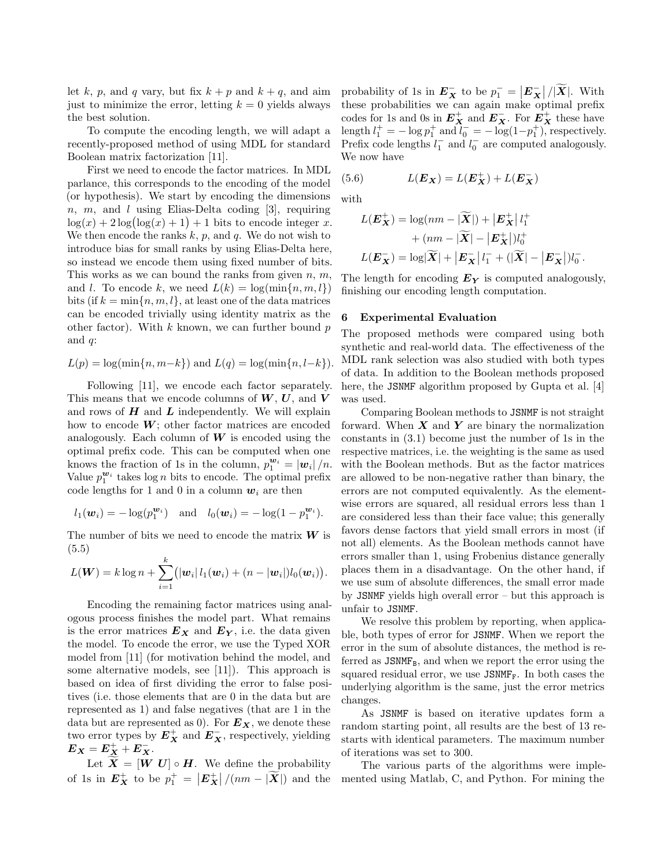let k, p, and q vary, but fix  $k + p$  and  $k + q$ , and aim just to minimize the error, letting  $k = 0$  yields always the best solution.

To compute the encoding length, we will adapt a recently-proposed method of using MDL for standard Boolean matrix factorization [11].

First we need to encode the factor matrices. In MDL parlance, this corresponds to the encoding of the model (or hypothesis). We start by encoding the dimensions  $n, m,$  and l using Elias-Delta coding [3], requiring  $\log(x) + 2\log(\log(x) + 1) + 1$  bits to encode integer x. We then encode the ranks  $k$ ,  $p$ , and  $q$ . We do not wish to introduce bias for small ranks by using Elias-Delta here, so instead we encode them using fixed number of bits. This works as we can bound the ranks from given  $n, m$ , and l. To encode k, we need  $L(k) = \log(\min\{n, m, l\})$ bits (if  $k = \min\{n, m, l\}$ , at least one of the data matrices can be encoded trivially using identity matrix as the other factor). With  $k$  known, we can further bound  $p$ and  $q$ :

$$
L(p) = \log(\min\{n, m-k\})
$$
 and 
$$
L(q) = \log(\min\{n, l-k\}).
$$

Following [11], we encode each factor separately. This means that we encode columns of  $W, U$ , and  $V$ and rows of  $H$  and  $L$  independently. We will explain how to encode  $W$ ; other factor matrices are encoded analogously. Each column of  $W$  is encoded using the optimal prefix code. This can be computed when one knows the fraction of 1s in the column,  $p_1^{\mathbf{w}_i} = |\mathbf{w}_i|/n$ . Value  $p_1^{\mathbf{w}_i}$  takes  $\log n$  bits to encode. The optimal prefix code lengths for 1 and 0 in a column  $w_i$  are then

$$
l_1(\mathbf{w}_i) = -\log(p_1^{\mathbf{w}_i})
$$
 and  $l_0(\mathbf{w}_i) = -\log(1-p_1^{\mathbf{w}_i}).$ 

The number of bits we need to encode the matrix  $W$  is (5.5)

$$
L(\boldsymbol{W}) = k \log n + \sum_{i=1}^k (|\boldsymbol{w}_i| l_1(\boldsymbol{w}_i) + (n - |\boldsymbol{w}_i|) l_0(\boldsymbol{w}_i)).
$$

Encoding the remaining factor matrices using analogous process finishes the model part. What remains is the error matrices  $E_X$  and  $E_Y$ , i.e. the data given the model. To encode the error, we use the Typed XOR model from [11] (for motivation behind the model, and some alternative models, see [11]). This approach is based on idea of first dividing the error to false positives (i.e. those elements that are 0 in the data but are represented as 1) and false negatives (that are 1 in the data but are represented as 0). For  $E_X$ , we denote these two error types by  $E_X^+$  and  $E_X^-$ , respectively, yielding  $\boldsymbol{E_X} = \boldsymbol{E_X^+} + \boldsymbol{E_X^-}.$ 

Let  $\mathbf{X} = [\mathbf{W} \ \mathbf{U}] \circ \mathbf{H}$ . We define the probability of 1s in  $E_X^+$  to be  $p_1^+ = |E_X^+|/(nm - |\widetilde{X}|)$  and the

probability of 1s in  $E_X^-$  to be  $p_1^- = |E_X|/|\widetilde{X}|$ . With these probabilities we can again make optimal prefix codes for 1s and 0s in  $E_X^+$  and  $E_X^-$ . For  $E_X^+$  these have length  $l_1^+ = -\log p_1^+$  and  $l_0^- = -\log(1-p_1^+)$ , respectively. Prefix code lengths  $l_1^-$  and  $l_0^-$  are computed analogously. We now have

(5.6) 
$$
L(\boldsymbol{E_X}) = L(\boldsymbol{E_X^+}) + L(\boldsymbol{E_X^-})
$$

with

$$
L(\mathbf{E}_{\mathbf{X}}^{+}) = \log(nm - |\widetilde{\mathbf{X}}|) + |\mathbf{E}_{\mathbf{X}}^{+}| l_{1}^{+}
$$
  
+ 
$$
(nm - |\widetilde{\mathbf{X}}| - |\mathbf{E}_{\mathbf{X}}^{+}|) l_{0}^{+}
$$
  

$$
L(\mathbf{E}_{\mathbf{X}}^{-}) = \log |\widetilde{\mathbf{X}}| + |\mathbf{E}_{\mathbf{X}}^{-}| l_{1}^{-} + (|\widetilde{\mathbf{X}}| - |\mathbf{E}_{\mathbf{X}}^{-}|) l_{0}^{-}.
$$

The length for encoding  $E_Y$  is computed analogously, finishing our encoding length computation.

## 6 Experimental Evaluation

The proposed methods were compared using both synthetic and real-world data. The effectiveness of the MDL rank selection was also studied with both types of data. In addition to the Boolean methods proposed here, the JSNMF algorithm proposed by Gupta et al. [4] was used.

Comparing Boolean methods to JSNMF is not straight forward. When  $X$  and  $Y$  are binary the normalization constants in (3.1) become just the number of 1s in the respective matrices, i.e. the weighting is the same as used with the Boolean methods. But as the factor matrices are allowed to be non-negative rather than binary, the errors are not computed equivalently. As the elementwise errors are squared, all residual errors less than 1 are considered less than their face value; this generally favors dense factors that yield small errors in most (if not all) elements. As the Boolean methods cannot have errors smaller than 1, using Frobenius distance generally places them in a disadvantage. On the other hand, if we use sum of absolute differences, the small error made by JSNMF yields high overall error – but this approach is unfair to JSNMF.

We resolve this problem by reporting, when applicable, both types of error for JSNMF. When we report the error in the sum of absolute distances, the method is referred as  $JSMMF_B$ , and when we report the error using the squared residual error, we use  $JSMMF_F$ . In both cases the underlying algorithm is the same, just the error metrics changes.

As JSNMF is based on iterative updates form a random starting point, all results are the best of 13 restarts with identical parameters. The maximum number of iterations was set to 300.

The various parts of the algorithms were implemented using Matlab, C, and Python. For mining the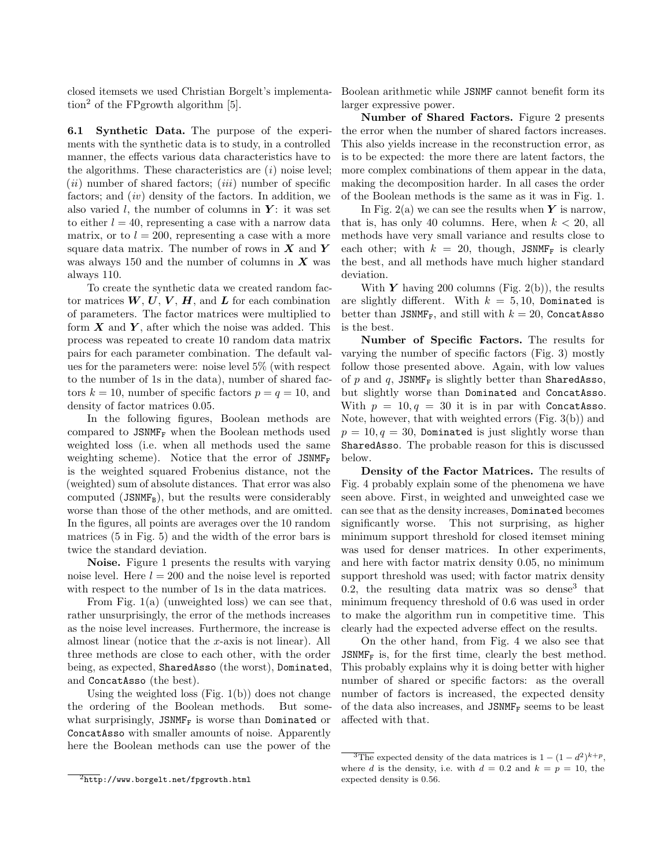closed itemsets we used Christian Borgelt's implementation<sup>2</sup> of the FPgrowth algorithm  $[5]$ .

6.1 Synthetic Data. The purpose of the experiments with the synthetic data is to study, in a controlled manner, the effects various data characteristics have to the algorithms. These characteristics are  $(i)$  noise level;  $(ii)$  number of shared factors;  $(iii)$  number of specific factors; and  $(iv)$  density of the factors. In addition, we also varied  $l$ , the number of columns in  $Y$ : it was set to either  $l = 40$ , representing a case with a narrow data matrix, or to  $l = 200$ , representing a case with a more square data matrix. The number of rows in  $X$  and Y was always 150 and the number of columns in  $X$  was always 110.

To create the synthetic data we created random factor matrices  $W, U, V, H$ , and  $L$  for each combination of parameters. The factor matrices were multiplied to form  $X$  and  $Y$ , after which the noise was added. This process was repeated to create 10 random data matrix pairs for each parameter combination. The default values for the parameters were: noise level 5% (with respect to the number of 1s in the data), number of shared factors  $k = 10$ , number of specific factors  $p = q = 10$ , and density of factor matrices 0.05.

In the following figures, Boolean methods are compared to  $JSMMF_F$  when the Boolean methods used weighted loss (i.e. when all methods used the same weighting scheme). Notice that the error of  $JSMMF_F$ is the weighted squared Frobenius distance, not the (weighted) sum of absolute distances. That error was also computed (JSNMF<sub>B</sub>), but the results were considerably worse than those of the other methods, and are omitted. In the figures, all points are averages over the 10 random matrices (5 in Fig. 5) and the width of the error bars is twice the standard deviation.

Noise. Figure 1 presents the results with varying noise level. Here  $l = 200$  and the noise level is reported with respect to the number of 1s in the data matrices.

From Fig. 1(a) (unweighted loss) we can see that, rather unsurprisingly, the error of the methods increases as the noise level increases. Furthermore, the increase is almost linear (notice that the x-axis is not linear). All three methods are close to each other, with the order being, as expected, SharedAsso (the worst), Dominated, and ConcatAsso (the best).

Using the weighted loss  $(Fig. 1(b))$  does not change the ordering of the Boolean methods. But somewhat surprisingly, JSNMF<sub>F</sub> is worse than Dominated or ConcatAsso with smaller amounts of noise. Apparently here the Boolean methods can use the power of the Boolean arithmetic while JSNMF cannot benefit form its larger expressive power.

Number of Shared Factors. Figure 2 presents the error when the number of shared factors increases. This also yields increase in the reconstruction error, as is to be expected: the more there are latent factors, the more complex combinations of them appear in the data, making the decomposition harder. In all cases the order of the Boolean methods is the same as it was in Fig. 1.

In Fig. 2(a) we can see the results when  $Y$  is narrow, that is, has only 40 columns. Here, when  $k < 20$ , all methods have very small variance and results close to each other; with  $k = 20$ , though, JSNMF<sub>F</sub> is clearly the best, and all methods have much higher standard deviation.

With  $\boldsymbol{Y}$  having 200 columns (Fig. 2(b)), the results are slightly different. With  $k = 5, 10$ , Dominated is better than JSNMF<sub>F</sub>, and still with  $k = 20$ , ConcatAsso is the best.

Number of Specific Factors. The results for varying the number of specific factors (Fig. 3) mostly follow those presented above. Again, with low values of  $p$  and  $q$ , JSNMF<sub>F</sub> is slightly better than SharedAsso, but slightly worse than Dominated and ConcatAsso. With  $p = 10, q = 30$  it is in par with ConcatAsso. Note, however, that with weighted errors (Fig. 3(b)) and  $p = 10, q = 30$ , Dominated is just slightly worse than SharedAsso. The probable reason for this is discussed below.

Density of the Factor Matrices. The results of Fig. 4 probably explain some of the phenomena we have seen above. First, in weighted and unweighted case we can see that as the density increases, Dominated becomes significantly worse. This not surprising, as higher minimum support threshold for closed itemset mining was used for denser matrices. In other experiments, and here with factor matrix density 0.05, no minimum support threshold was used; with factor matrix density  $0.2$ , the resulting data matrix was so dense<sup>3</sup> that minimum frequency threshold of 0.6 was used in order to make the algorithm run in competitive time. This clearly had the expected adverse effect on the results.

On the other hand, from Fig. 4 we also see that  $JSMMF_F$  is, for the first time, clearly the best method. This probably explains why it is doing better with higher number of shared or specific factors: as the overall number of factors is increased, the expected density of the data also increases, and  $JSMMF_F$  seems to be least affected with that.

 $\frac{1}{2}$ http://www.borgelt.net/fpgrowth.html

 $\overline{^{3}$ The expected density of the data matrices is  $1 - (1 - d^2)^{k+p}$ , where d is the density, i.e. with  $d = 0.2$  and  $k = p = 10$ , the expected density is 0.56.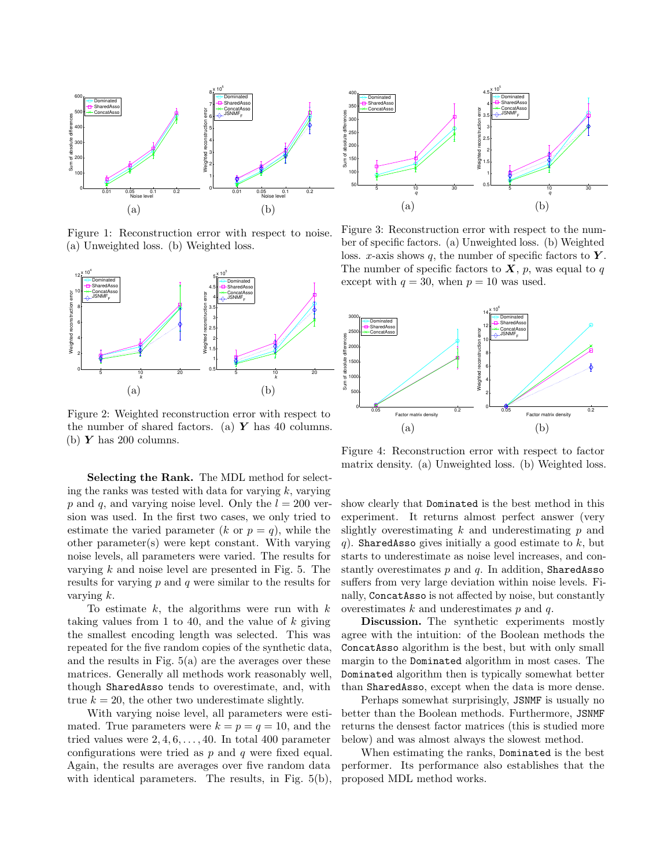

Figure 1: Reconstruction error with respect to noise. (a) Unweighted loss. (b) Weighted loss.



Figure 2: Weighted reconstruction error with respect to the number of shared factors. (a)  $\boldsymbol{Y}$  has 40 columns. (b)  $Y$  has 200 columns.

Selecting the Rank. The MDL method for selecting the ranks was tested with data for varying  $k$ , varying p and q, and varying noise level. Only the  $l = 200$  version was used. In the first two cases, we only tried to estimate the varied parameter  $(k \text{ or } p = q)$ , while the other parameter(s) were kept constant. With varying noise levels, all parameters were varied. The results for varying  $k$  and noise level are presented in Fig. 5. The results for varying  $p$  and  $q$  were similar to the results for varying k.

To estimate  $k$ , the algorithms were run with  $k$ taking values from 1 to 40, and the value of  $k$  giving the smallest encoding length was selected. This was repeated for the five random copies of the synthetic data, and the results in Fig. 5(a) are the averages over these matrices. Generally all methods work reasonably well, though SharedAsso tends to overestimate, and, with true  $k = 20$ , the other two underestimate slightly.

With varying noise level, all parameters were estimated. True parameters were  $k = p = q = 10$ , and the tried values were  $2, 4, 6, \ldots, 40$ . In total 400 parameter configurations were tried as  $p$  and  $q$  were fixed equal. Again, the results are averages over five random data with identical parameters. The results, in Fig.  $5(b)$ ,



Figure 3: Reconstruction error with respect to the number of specific factors. (a) Unweighted loss. (b) Weighted loss. x-axis shows q, the number of specific factors to  $Y$ . The number of specific factors to  $X$ ,  $p$ , was equal to  $q$ except with  $q = 30$ , when  $p = 10$  was used.



Figure 4: Reconstruction error with respect to factor matrix density. (a) Unweighted loss. (b) Weighted loss.

show clearly that Dominated is the best method in this experiment. It returns almost perfect answer (very slightly overestimating  $k$  and underestimating  $p$  and q). SharedAsso gives initially a good estimate to  $k$ , but starts to underestimate as noise level increases, and constantly overestimates  $p$  and  $q$ . In addition, SharedAsso suffers from very large deviation within noise levels. Finally, ConcatAsso is not affected by noise, but constantly overestimates  $k$  and underestimates  $p$  and  $q$ .

Discussion. The synthetic experiments mostly agree with the intuition: of the Boolean methods the ConcatAsso algorithm is the best, but with only small margin to the Dominated algorithm in most cases. The Dominated algorithm then is typically somewhat better than SharedAsso, except when the data is more dense.

Perhaps somewhat surprisingly, JSNMF is usually no better than the Boolean methods. Furthermore, JSNMF returns the densest factor matrices (this is studied more below) and was almost always the slowest method.

When estimating the ranks, Dominated is the best performer. Its performance also establishes that the proposed MDL method works.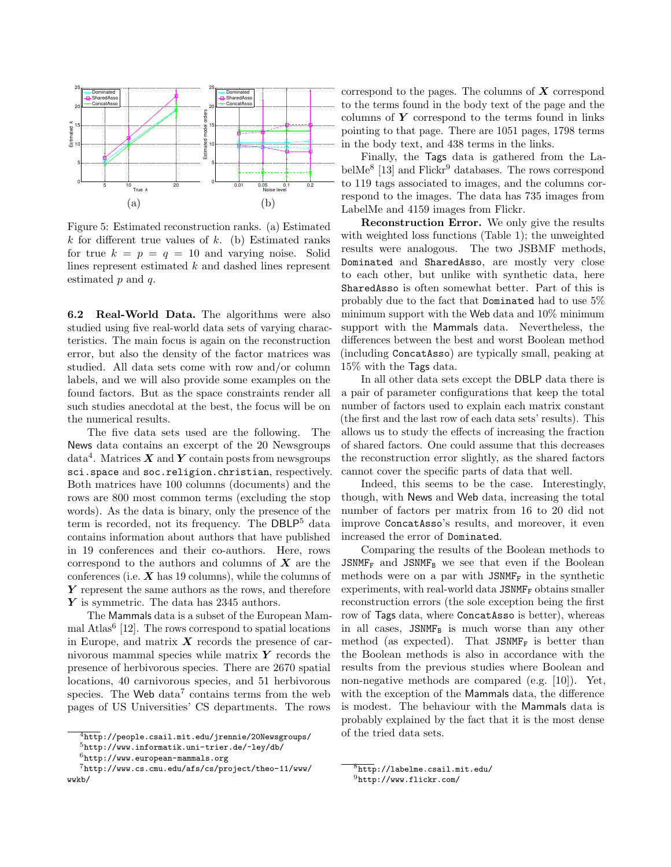

Figure 5: Estimated reconstruction ranks. (a) Estimated  $k$  for different true values of  $k$ . (b) Estimated ranks for true  $k = p = q = 10$  and varying noise. Solid lines represent estimated k and dashed lines represent estimated  $p$  and  $q$ .

6.2 Real-World Data. The algorithms were also studied using five real-world data sets of varying characteristics. The main focus is again on the reconstruction error, but also the density of the factor matrices was studied. All data sets come with row and/or column labels, and we will also provide some examples on the found factors. But as the space constraints render all such studies anecdotal at the best, the focus will be on the numerical results.

The five data sets used are the following. The News data contains an excerpt of the 20 Newsgroups data $^4$ . Matrices  $\boldsymbol{X}$  and  $\boldsymbol{Y}$  contain posts from newsgroups sci.space and soc.religion.christian, respectively. Both matrices have 100 columns (documents) and the rows are 800 most common terms (excluding the stop words). As the data is binary, only the presence of the term is recorded, not its frequency. The DBLP<sup>5</sup> data contains information about authors that have published in 19 conferences and their co-authors. Here, rows correspond to the authors and columns of  $X$  are the conferences (i.e.  $X$  has 19 columns), while the columns of  $Y$  represent the same authors as the rows, and therefore Y is symmetric. The data has 2345 authors.

The Mammals data is a subset of the European Mammal Atlas<sup>6</sup> [12]. The rows correspond to spatial locations in Europe, and matrix  $\boldsymbol{X}$  records the presence of carnivorous mammal species while matrix  $Y$  records the presence of herbivorous species. There are 2670 spatial locations, 40 carnivorous species, and 51 herbivorous species. The Web data<sup>7</sup> contains terms from the web pages of US Universities' CS departments. The rows correspond to the pages. The columns of  $X$  correspond to the terms found in the body text of the page and the columns of  $Y$  correspond to the terms found in links pointing to that page. There are 1051 pages, 1798 terms in the body text, and 438 terms in the links.

Finally, the Tags data is gathered from the LabelMe<sup>8</sup> [13] and Flickr<sup>9</sup> databases. The rows correspond to 119 tags associated to images, and the columns correspond to the images. The data has 735 images from LabelMe and 4159 images from Flickr.

Reconstruction Error. We only give the results with weighted loss functions (Table 1); the unweighted results were analogous. The two JSBMF methods, Dominated and SharedAsso, are mostly very close to each other, but unlike with synthetic data, here SharedAsso is often somewhat better. Part of this is probably due to the fact that Dominated had to use 5% minimum support with the Web data and 10% minimum support with the Mammals data. Nevertheless, the differences between the best and worst Boolean method (including ConcatAsso) are typically small, peaking at 15% with the Tags data.

In all other data sets except the DBLP data there is a pair of parameter configurations that keep the total number of factors used to explain each matrix constant (the first and the last row of each data sets' results). This allows us to study the effects of increasing the fraction of shared factors. One could assume that this decreases the reconstruction error slightly, as the shared factors cannot cover the specific parts of data that well.

Indeed, this seems to be the case. Interestingly, though, with News and Web data, increasing the total number of factors per matrix from 16 to 20 did not improve ConcatAsso's results, and moreover, it even increased the error of Dominated.

Comparing the results of the Boolean methods to JSNMF<sub>F</sub> and JSNMF<sub>B</sub> we see that even if the Boolean methods were on a par with  $JSMMF_F$  in the synthetic experiments, with real-world data  $JSMMF_F$  obtains smaller reconstruction errors (the sole exception being the first row of Tags data, where ConcatAsso is better), whereas in all cases,  $JSMMF_B$  is much worse than any other method (as expected). That  $JSMMF_F$  is better than the Boolean methods is also in accordance with the results from the previous studies where Boolean and non-negative methods are compared (e.g. [10]). Yet, with the exception of the Mammals data, the difference is modest. The behaviour with the Mammals data is probably explained by the fact that it is the most dense of the tried data sets.

 $\frac{4 \cdot 4}{4 \cdot 4 \cdot 5}$ ://people.csail.mit.edu/jrennie/20Newsgroups/

<sup>5</sup>http://www.informatik.uni-trier.de/~ley/db/

 $^6$ http://www.european-mammals.org

<sup>7</sup>http://www.cs.cmu.edu/afs/cs/project/theo-11/www/ wwkb/

 $8$ http://labelme.csail.mit.edu/

 $^{9}$ http://www.flickr.com/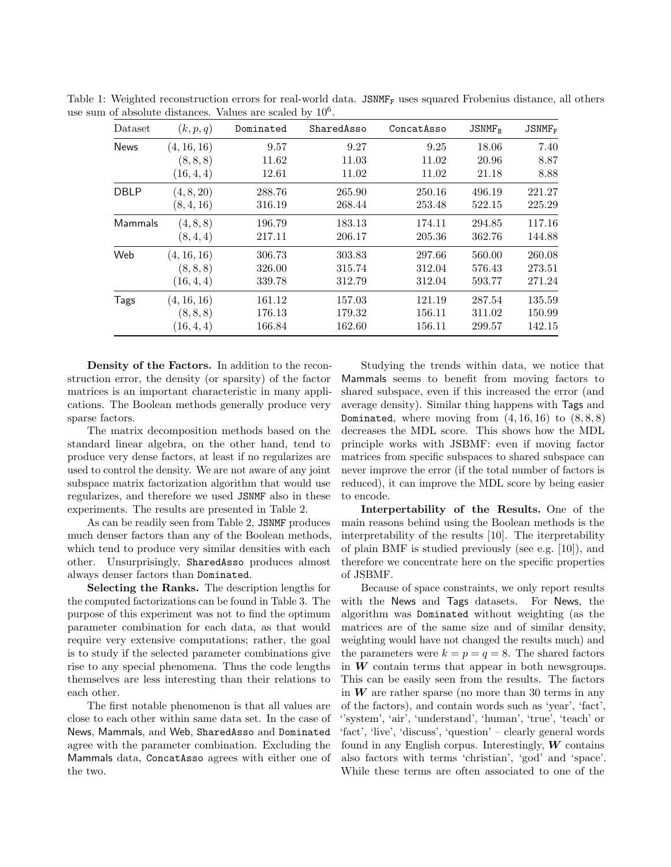| Dataset     | (k, p, q)   | Dominated | SharedAsso | ConcatAsso | $JSNMF_R$ | $JSMMF_F$ |
|-------------|-------------|-----------|------------|------------|-----------|-----------|
| <b>News</b> | (4, 16, 16) | 9.57      | 9.27       | 9.25       | 18.06     | 7.40      |
|             | (8, 8, 8)   | 11.62     | 11.03      | 11.02      | 20.96     | 8.87      |
|             | (16, 4, 4)  | 12.61     | 11.02      | 11.02      | 21.18     | 8.88      |
| <b>DBLP</b> | (4, 8, 20)  | 288.76    | 265.90     | 250.16     | 496.19    | 221.27    |
|             | (8, 4, 16)  | 316.19    | 268.44     | 253.48     | 522.15    | 225.29    |
| Mammals     | (4, 8, 8)   | 196.79    | 183.13     | 174.11     | 294.85    | 117.16    |
|             | (8, 4, 4)   | 217.11    | 206.17     | 205.36     | 362.76    | 144.88    |
| Web         | (4, 16, 16) | 306.73    | 303.83     | 297.66     | 560.00    | 260.08    |
|             | (8, 8, 8)   | 326.00    | 315.74     | 312.04     | 576.43    | 273.51    |
|             | (16, 4, 4)  | 339.78    | 312.79     | 312.04     | 593.77    | 271.24    |
| Tags        | (4, 16, 16) | 161.12    | 157.03     | 121.19     | 287.54    | 135.59    |
|             | (8, 8, 8)   | 176.13    | 179.32     | 156.11     | 311.02    | 150.99    |
|             | (16, 4, 4)  | 166.84    | 162.60     | 156.11     | 299.57    | 142.15    |

Table 1: Weighted reconstruction errors for real-world data. JSNMF<sub>F</sub> uses squared Frobenius distance, all others use sum of absolute distances. Values are scaled by  $10<sup>6</sup>$ .

Density of the Factors. In addition to the reconstruction error, the density (or sparsity) of the factor matrices is an important characteristic in many applications. The Boolean methods generally produce very sparse factors.

The matrix decomposition methods based on the standard linear algebra, on the other hand, tend to produce very dense factors, at least if no regularizes are used to control the density. We are not aware of any joint subspace matrix factorization algorithm that would use regularizes, and therefore we used JSNMF also in these experiments. The results are presented in Table 2.

As can be readily seen from Table 2, JSNMF produces much denser factors than any of the Boolean methods, which tend to produce very similar densities with each other. Unsurprisingly, SharedAsso produces almost always denser factors than Dominated.

Selecting the Ranks. The description lengths for the computed factorizations can be found in Table 3. The purpose of this experiment was not to find the optimum parameter combination for each data, as that would require very extensive computations; rather, the goal is to study if the selected parameter combinations give rise to any special phenomena. Thus the code lengths themselves are less interesting than their relations to each other.

The first notable phenomenon is that all values are close to each other within same data set. In the case of News, Mammals, and Web, SharedAsso and Dominated agree with the parameter combination. Excluding the Mammals data, ConcatAsso agrees with either one of the two.

Studying the trends within data, we notice that Mammals seems to benefit from moving factors to shared subspace, even if this increased the error (and average density). Similar thing happens with Tags and Dominated, where moving from  $(4, 16, 16)$  to  $(8, 8, 8)$ decreases the MDL score. This shows how the MDL principle works with JSBMF: even if moving factor matrices from specific subspaces to shared subspace can never improve the error (if the total number of factors is reduced), it can improve the MDL score by being easier to encode.

Interpertability of the Results. One of the main reasons behind using the Boolean methods is the interpretability of the results [10]. The iterpretability of plain BMF is studied previously (see e.g. [10]), and therefore we concentrate here on the specific properties of JSBMF.

Because of space constraints, we only report results with the News and Tags datasets. For News, the algorithm was Dominated without weighting (as the matrices are of the same size and of similar density, weighting would have not changed the results much) and the parameters were  $k = p = q = 8$ . The shared factors in  $W$  contain terms that appear in both newsgroups. This can be easily seen from the results. The factors in  $W$  are rather sparse (no more than 30 terms in any of the factors), and contain words such as 'year', 'fact', ''system', 'air', 'understand', 'human', 'true', 'teach' or 'fact', 'live', 'discuss', 'question' – clearly general words found in any English corpus. Interestingly,  $W$  contains also factors with terms 'christian', 'god' and 'space'. While these terms are often associated to one of the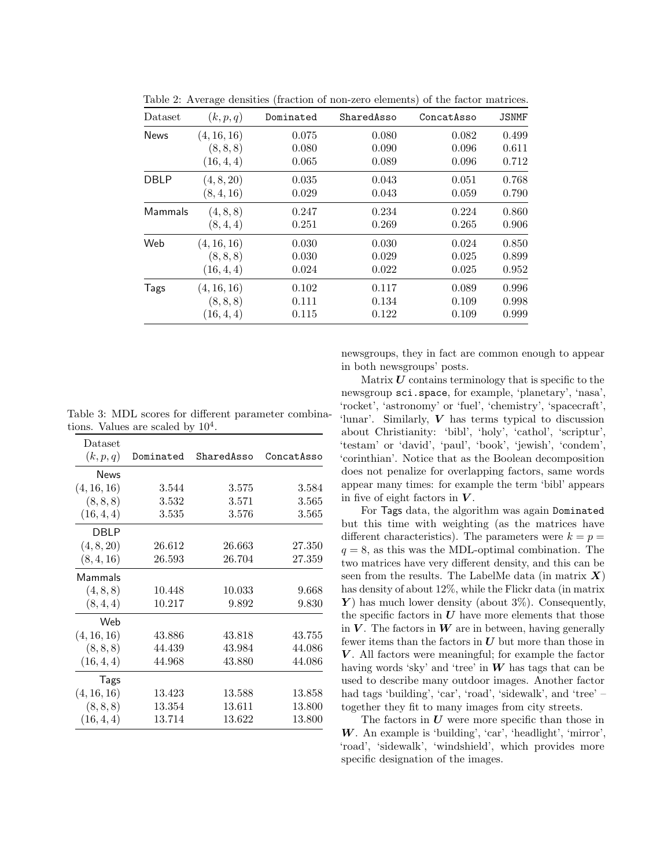| Dataset     | (k, p, q)   | Dominated | SharedAsso | ConcatAsso | <b>JSNMF</b> |
|-------------|-------------|-----------|------------|------------|--------------|
| <b>News</b> | (4, 16, 16) | 0.075     | 0.080      | 0.082      | 0.499        |
|             | (8, 8, 8)   | 0.080     | 0.090      | 0.096      | 0.611        |
|             | (16, 4, 4)  | 0.065     | 0.089      | 0.096      | 0.712        |
| <b>DBLP</b> | (4, 8, 20)  | 0.035     | 0.043      | 0.051      | 0.768        |
|             | (8, 4, 16)  | 0.029     | 0.043      | 0.059      | 0.790        |
| Mammals     | (4, 8, 8)   | 0.247     | 0.234      | 0.224      | 0.860        |
|             | (8, 4, 4)   | 0.251     | 0.269      | 0.265      | 0.906        |
| Web         | (4, 16, 16) | 0.030     | 0.030      | 0.024      | 0.850        |
|             | (8, 8, 8)   | 0.030     | 0.029      | 0.025      | 0.899        |
|             | (16, 4, 4)  | 0.024     | 0.022      | 0.025      | 0.952        |
| Tags        | (4, 16, 16) | 0.102     | 0.117      | 0.089      | 0.996        |
|             | (8, 8, 8)   | 0.111     | 0.134      | 0.109      | 0.998        |
|             | (16, 4, 4)  | 0.115     | 0.122      | 0.109      | 0.999        |

Table 2: Average densities (fraction of non-zero elements) of the factor matrices.

Table 3: MDL scores for different parameter combinations. Values are scaled by  $10^4$ .

| Dataset     |           |            |            |
|-------------|-----------|------------|------------|
| (k, p, q)   | Dominated | SharedAsso | ConcatAsso |
| News        |           |            |            |
| (4, 16, 16) | 3.544     | 3.575      | 3.584      |
| (8, 8, 8)   | 3.532     | 3.571      | 3.565      |
| (16, 4, 4)  | 3.535     | 3.576      | 3.565      |
| DBLP        |           |            |            |
| (4, 8, 20)  | 26.612    | 26.663     | 27.350     |
| (8, 4, 16)  | 26.593    | 26.704     | 27.359     |
| Mammals     |           |            |            |
| (4, 8, 8)   | 10.448    | 10.033     | 9.668      |
| (8, 4, 4)   | 10.217    | 9.892      | 9.830      |
| Web         |           |            |            |
| (4, 16, 16) | 43.886    | 43.818     | 43.755     |
| (8, 8, 8)   | 44.439    | 43.984     | 44.086     |
| (16, 4, 4)  | 44.968    | 43.880     | 44.086     |
| Tags        |           |            |            |
| (4, 16, 16) | 13.423    | 13.588     | 13.858     |
| (8, 8, 8)   | 13.354    | 13.611     | 13.800     |
| (16, 4, 4)  | 13.714    | 13.622     | 13.800     |

newsgroups, they in fact are common enough to appear in both newsgroups' posts.

Matrix  $U$  contains terminology that is specific to the newsgroup sci.space, for example, 'planetary', 'nasa', 'rocket', 'astronomy' or 'fuel', 'chemistry', 'spacecraft', 'lunar'. Similarly,  $V$  has terms typical to discussion about Christianity: 'bibl', 'holy', 'cathol', 'scriptur', 'testam' or 'david', 'paul', 'book', 'jewish', 'condem', 'corinthian'. Notice that as the Boolean decomposition does not penalize for overlapping factors, same words appear many times: for example the term 'bibl' appears in five of eight factors in  $V$ .

For Tags data, the algorithm was again Dominated but this time with weighting (as the matrices have different characteristics). The parameters were  $k = p =$  $q = 8$ , as this was the MDL-optimal combination. The two matrices have very different density, and this can be seen from the results. The LabelMe data (in matrix  $X$ ) has density of about 12%, while the Flickr data (in matrix  $\boldsymbol{Y}$ ) has much lower density (about 3%). Consequently, the specific factors in  $U$  have more elements that those in  $V$ . The factors in  $W$  are in between, having generally fewer items than the factors in  $U$  but more than those in  $V$ . All factors were meaningful; for example the factor having words 'sky' and 'tree' in  $W$  has tags that can be used to describe many outdoor images. Another factor had tags 'building', 'car', 'road', 'sidewalk', and 'tree' – together they fit to many images from city streets.

The factors in  $U$  were more specific than those in  $W$ . An example is 'building', 'car', 'headlight', 'mirror', 'road', 'sidewalk', 'windshield', which provides more specific designation of the images.